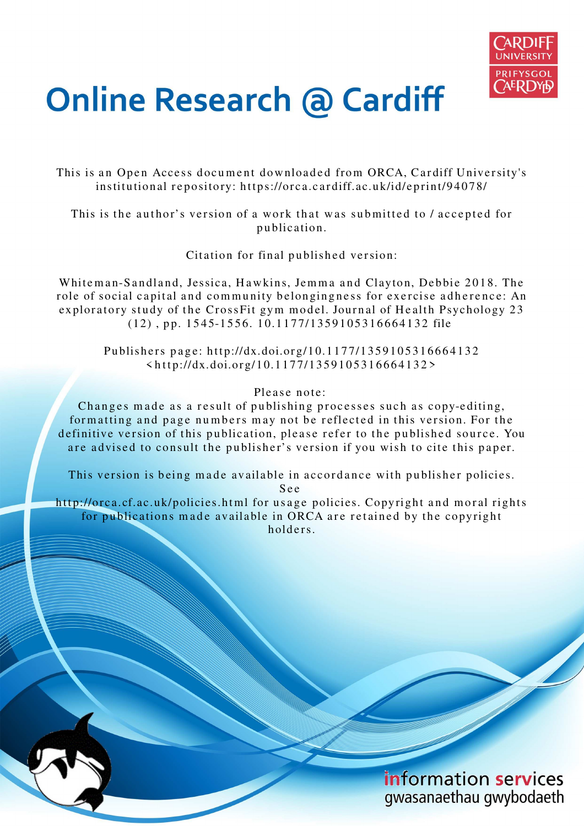

# **Online Research @ Cardiff**

This is an Open Access document downloaded from ORCA, Cardiff University's institutional repository: https://orca.cardiff.ac.uk/id/eprint/94078/

This is the author's version of a work that was submitted to / accepted for p u blication.

Citation for final published version:

Whiteman-Sandland, Jessica, Hawkins, Jemma and Clayton, Debbie 2018. The role of social capital and community belongingness for exercise adherence: An exploratory study of the CrossFit gym model. Journal of Health Psychology 23  $(12)$ , pp. 1545-1556. 10.1177/1359105316664132 file

Publishers page: http://dx.doi.org/10.1177/1359105316664132  $\frac{\text{th}}{2}$ 

Please note:

Changes made as a result of publishing processes such as copy-editing, formatting and page numbers may not be reflected in this version. For the definitive version of this publication, please refer to the published source. You are advised to consult the publisher's version if you wish to cite this paper.

This version is being made available in accordance with publisher policies.

S e e

http://orca.cf.ac.uk/policies.html for usage policies. Copyright and moral rights for publications made available in ORCA are retained by the copyright holders

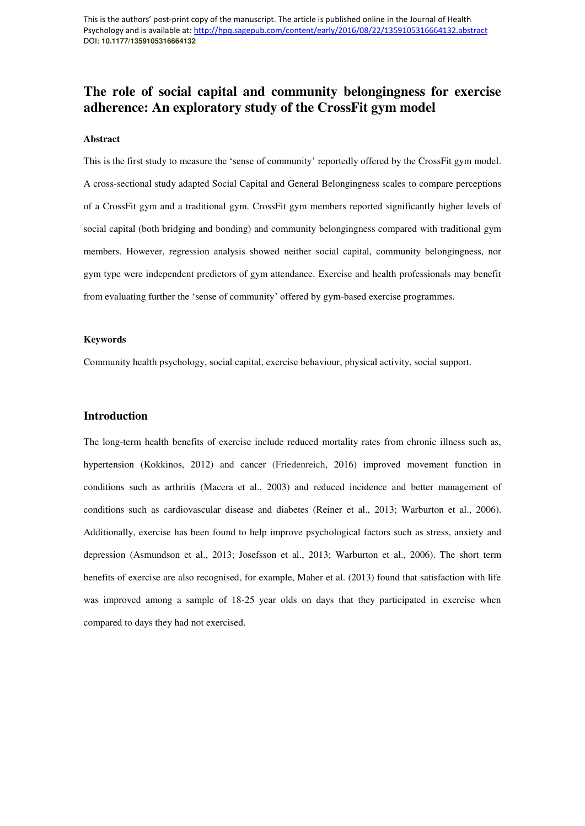# **The role of social capital and community belongingness for exercise adherence: An exploratory study of the CrossFit gym model**

# **Abstract**

This is the first study to measure the 'sense of community' reportedly offered by the CrossFit gym model. A cross-sectional study adapted Social Capital and General Belongingness scales to compare perceptions of a CrossFit gym and a traditional gym. CrossFit gym members reported significantly higher levels of social capital (both bridging and bonding) and community belongingness compared with traditional gym members. However, regression analysis showed neither social capital, community belongingness, nor gym type were independent predictors of gym attendance. Exercise and health professionals may benefit from evaluating further the 'sense of community' offered by gym-based exercise programmes.

# **Keywords**

Community health psychology, social capital, exercise behaviour, physical activity, social support.

# **Introduction**

The long-term health benefits of exercise include reduced mortality rates from chronic illness such as, hypertension (Kokkinos, 2012) and cancer (Friedenreich, 2016) improved movement function in conditions such as arthritis (Macera et al., 2003) and reduced incidence and better management of conditions such as cardiovascular disease and diabetes (Reiner et al., 2013; Warburton et al., 2006). Additionally, exercise has been found to help improve psychological factors such as stress, anxiety and depression (Asmundson et al., 2013; Josefsson et al., 2013; Warburton et al., 2006). The short term benefits of exercise are also recognised, for example, Maher et al. (2013) found that satisfaction with life was improved among a sample of 18-25 year olds on days that they participated in exercise when compared to days they had not exercised.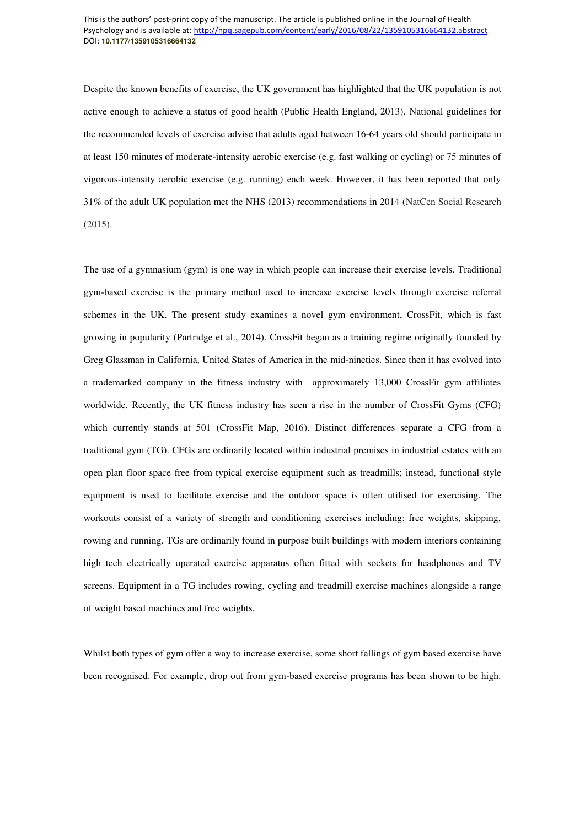Despite the known benefits of exercise, the UK government has highlighted that the UK population is not active enough to achieve a status of good health (Public Health England, 2013). National guidelines for the recommended levels of exercise advise that adults aged between 16-64 years old should participate in at least 150 minutes of moderate-intensity aerobic exercise (e.g. fast walking or cycling) or 75 minutes of vigorous-intensity aerobic exercise (e.g. running) each week. However, it has been reported that only 31% of the adult UK population met the NHS (2013) recommendations in 2014 (NatCen Social Research (2015).

The use of a gymnasium (gym) is one way in which people can increase their exercise levels. Traditional gym-based exercise is the primary method used to increase exercise levels through exercise referral schemes in the UK. The present study examines a novel gym environment, CrossFit, which is fast growing in popularity (Partridge et al., 2014). CrossFit began as a training regime originally founded by Greg Glassman in California, United States of America in the mid-nineties. Since then it has evolved into a trademarked company in the fitness industry with approximately 13,000 CrossFit gym affiliates worldwide. Recently, the UK fitness industry has seen a rise in the number of CrossFit Gyms (CFG) which currently stands at 501 (CrossFit Map, 2016). Distinct differences separate a CFG from a traditional gym (TG). CFGs are ordinarily located within industrial premises in industrial estates with an open plan floor space free from typical exercise equipment such as treadmills; instead, functional style equipment is used to facilitate exercise and the outdoor space is often utilised for exercising. The workouts consist of a variety of strength and conditioning exercises including: free weights, skipping, rowing and running. TGs are ordinarily found in purpose built buildings with modern interiors containing high tech electrically operated exercise apparatus often fitted with sockets for headphones and TV screens. Equipment in a TG includes rowing, cycling and treadmill exercise machines alongside a range of weight based machines and free weights.

Whilst both types of gym offer a way to increase exercise, some short fallings of gym based exercise have been recognised. For example, drop out from gym-based exercise programs has been shown to be high.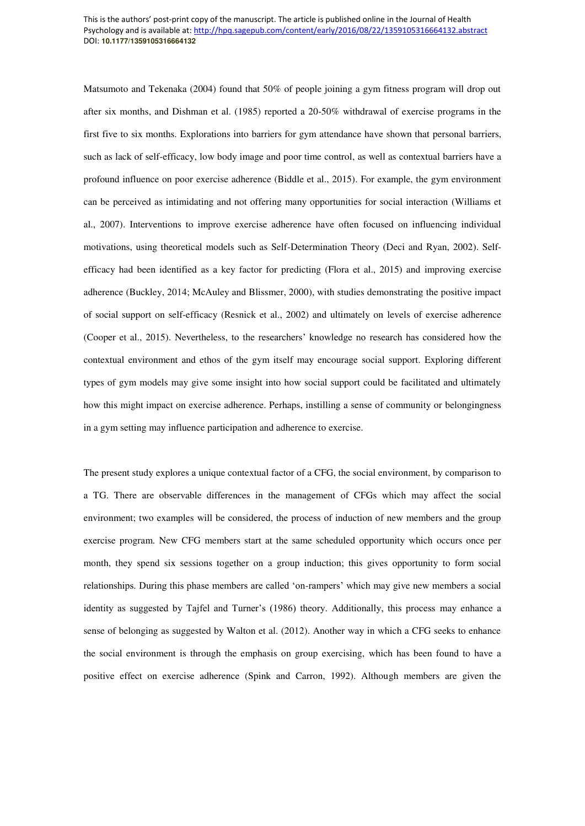Matsumoto and Tekenaka (2004) found that 50% of people joining a gym fitness program will drop out after six months, and Dishman et al. (1985) reported a 20-50% withdrawal of exercise programs in the first five to six months. Explorations into barriers for gym attendance have shown that personal barriers, such as lack of self-efficacy, low body image and poor time control, as well as contextual barriers have a profound influence on poor exercise adherence (Biddle et al., 2015). For example, the gym environment can be perceived as intimidating and not offering many opportunities for social interaction (Williams et al., 2007). Interventions to improve exercise adherence have often focused on influencing individual motivations, using theoretical models such as Self-Determination Theory (Deci and Ryan, 2002). Selfefficacy had been identified as a key factor for predicting (Flora et al., 2015) and improving exercise adherence (Buckley, 2014; McAuley and Blissmer, 2000), with studies demonstrating the positive impact of social support on self-efficacy (Resnick et al., 2002) and ultimately on levels of exercise adherence (Cooper et al., 2015). Nevertheless, to the researchers' knowledge no research has considered how the contextual environment and ethos of the gym itself may encourage social support. Exploring different types of gym models may give some insight into how social support could be facilitated and ultimately how this might impact on exercise adherence. Perhaps, instilling a sense of community or belongingness in a gym setting may influence participation and adherence to exercise.

The present study explores a unique contextual factor of a CFG, the social environment, by comparison to a TG. There are observable differences in the management of CFGs which may affect the social environment; two examples will be considered, the process of induction of new members and the group exercise program. New CFG members start at the same scheduled opportunity which occurs once per month, they spend six sessions together on a group induction; this gives opportunity to form social relationships. During this phase members are called 'on-rampers' which may give new members a social identity as suggested by Tajfel and Turner's (1986) theory. Additionally, this process may enhance a sense of belonging as suggested by Walton et al. (2012). Another way in which a CFG seeks to enhance the social environment is through the emphasis on group exercising, which has been found to have a positive effect on exercise adherence (Spink and Carron, 1992). Although members are given the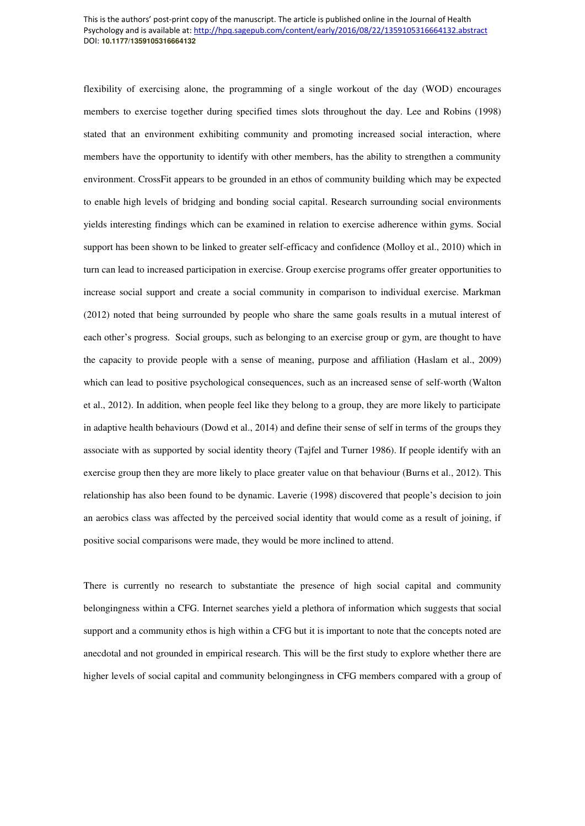flexibility of exercising alone, the programming of a single workout of the day (WOD) encourages members to exercise together during specified times slots throughout the day. Lee and Robins (1998) stated that an environment exhibiting community and promoting increased social interaction, where members have the opportunity to identify with other members, has the ability to strengthen a community environment. CrossFit appears to be grounded in an ethos of community building which may be expected to enable high levels of bridging and bonding social capital. Research surrounding social environments yields interesting findings which can be examined in relation to exercise adherence within gyms. Social support has been shown to be linked to greater self-efficacy and confidence (Molloy et al., 2010) which in turn can lead to increased participation in exercise. Group exercise programs offer greater opportunities to increase social support and create a social community in comparison to individual exercise. Markman (2012) noted that being surrounded by people who share the same goals results in a mutual interest of each other's progress. Social groups, such as belonging to an exercise group or gym, are thought to have the capacity to provide people with a sense of meaning, purpose and affiliation (Haslam et al., 2009) which can lead to positive psychological consequences, such as an increased sense of self-worth (Walton et al., 2012). In addition, when people feel like they belong to a group, they are more likely to participate in adaptive health behaviours (Dowd et al., 2014) and define their sense of self in terms of the groups they associate with as supported by social identity theory (Tajfel and Turner 1986). If people identify with an exercise group then they are more likely to place greater value on that behaviour (Burns et al., 2012). This relationship has also been found to be dynamic. Laverie (1998) discovered that people's decision to join an aerobics class was affected by the perceived social identity that would come as a result of joining, if positive social comparisons were made, they would be more inclined to attend.

There is currently no research to substantiate the presence of high social capital and community belongingness within a CFG. Internet searches yield a plethora of information which suggests that social support and a community ethos is high within a CFG but it is important to note that the concepts noted are anecdotal and not grounded in empirical research. This will be the first study to explore whether there are higher levels of social capital and community belongingness in CFG members compared with a group of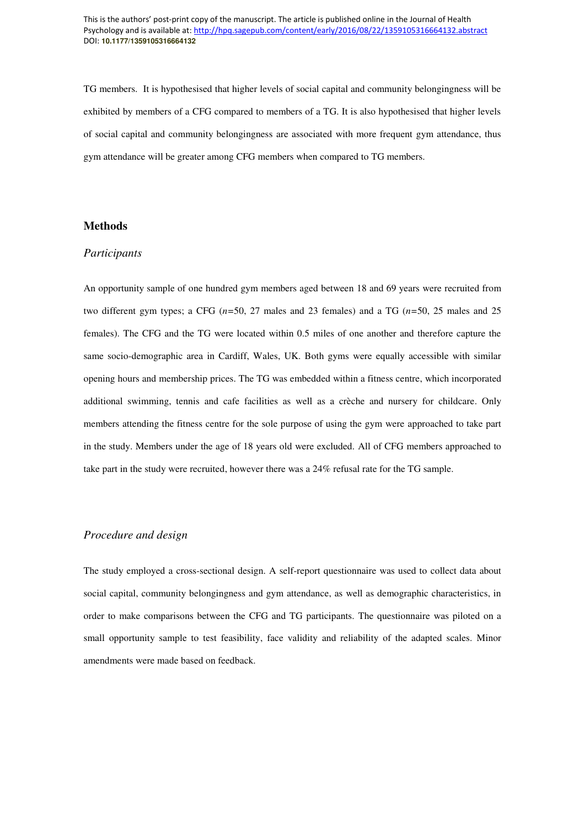TG members. It is hypothesised that higher levels of social capital and community belongingness will be exhibited by members of a CFG compared to members of a TG. It is also hypothesised that higher levels of social capital and community belongingness are associated with more frequent gym attendance, thus gym attendance will be greater among CFG members when compared to TG members.

# **Methods**

# *Participants*

An opportunity sample of one hundred gym members aged between 18 and 69 years were recruited from two different gym types; a CFG (*n=*50, 27 males and 23 females) and a TG (*n=*50, 25 males and 25 females). The CFG and the TG were located within 0.5 miles of one another and therefore capture the same socio-demographic area in Cardiff, Wales, UK. Both gyms were equally accessible with similar opening hours and membership prices. The TG was embedded within a fitness centre, which incorporated additional swimming, tennis and cafe facilities as well as a crèche and nursery for childcare. Only members attending the fitness centre for the sole purpose of using the gym were approached to take part in the study. Members under the age of 18 years old were excluded. All of CFG members approached to take part in the study were recruited, however there was a 24% refusal rate for the TG sample.

# *Procedure and design*

The study employed a cross-sectional design. A self-report questionnaire was used to collect data about social capital, community belongingness and gym attendance, as well as demographic characteristics, in order to make comparisons between the CFG and TG participants. The questionnaire was piloted on a small opportunity sample to test feasibility, face validity and reliability of the adapted scales. Minor amendments were made based on feedback.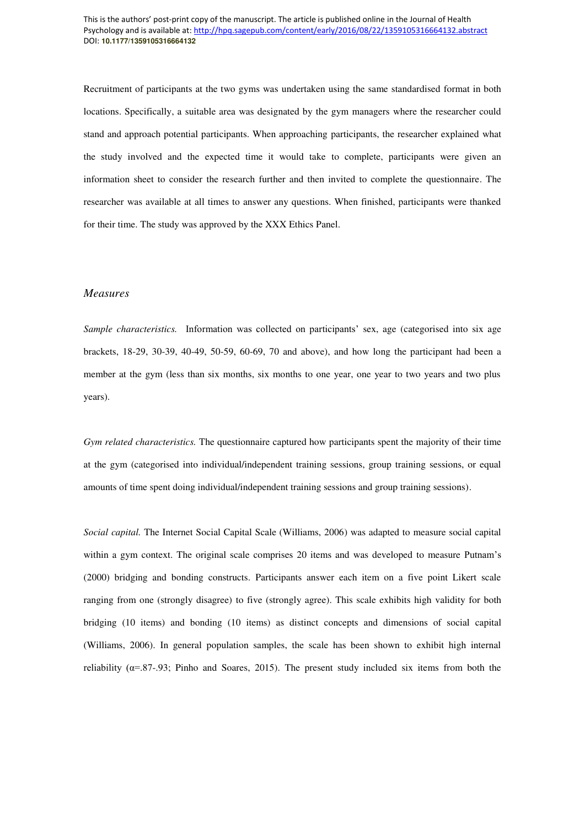Recruitment of participants at the two gyms was undertaken using the same standardised format in both locations. Specifically, a suitable area was designated by the gym managers where the researcher could stand and approach potential participants. When approaching participants, the researcher explained what the study involved and the expected time it would take to complete, participants were given an information sheet to consider the research further and then invited to complete the questionnaire. The researcher was available at all times to answer any questions. When finished, participants were thanked for their time. The study was approved by the XXX Ethics Panel.

## *Measures*

*Sample characteristics.* Information was collected on participants' sex, age (categorised into six age brackets, 18-29, 30-39, 40-49, 50-59, 60-69, 70 and above), and how long the participant had been a member at the gym (less than six months, six months to one year, one year to two years and two plus years).

*Gym related characteristics.* The questionnaire captured how participants spent the majority of their time at the gym (categorised into individual/independent training sessions, group training sessions, or equal amounts of time spent doing individual/independent training sessions and group training sessions).

*Social capital.* The Internet Social Capital Scale (Williams, 2006) was adapted to measure social capital within a gym context. The original scale comprises 20 items and was developed to measure Putnam's (2000) bridging and bonding constructs. Participants answer each item on a five point Likert scale ranging from one (strongly disagree) to five (strongly agree). This scale exhibits high validity for both bridging (10 items) and bonding (10 items) as distinct concepts and dimensions of social capital (Williams, 2006). In general population samples, the scale has been shown to exhibit high internal reliability ( $\alpha$ =.87-.93; Pinho and Soares, 2015). The present study included six items from both the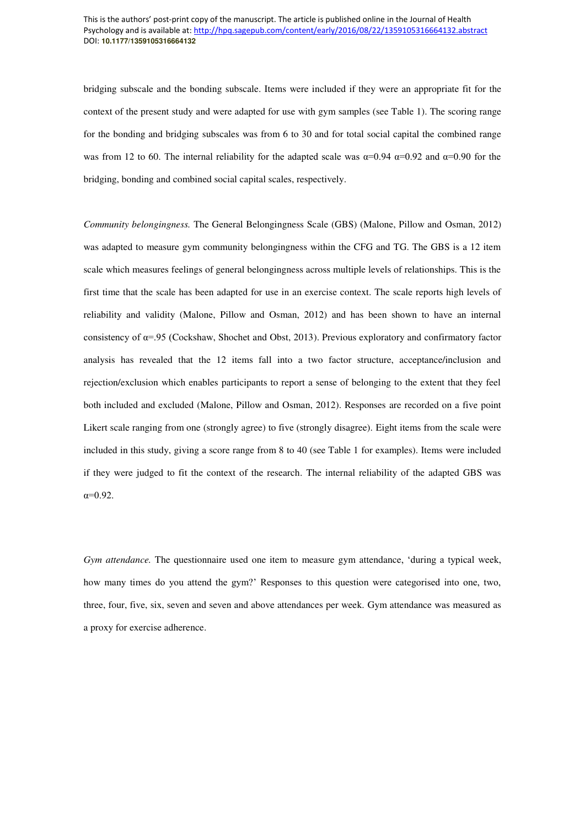bridging subscale and the bonding subscale. Items were included if they were an appropriate fit for the context of the present study and were adapted for use with gym samples (see Table 1). The scoring range for the bonding and bridging subscales was from 6 to 30 and for total social capital the combined range was from 12 to 60. The internal reliability for the adapted scale was  $\alpha=0.94$   $\alpha=0.92$  and  $\alpha=0.90$  for the bridging, bonding and combined social capital scales, respectively.

*Community belongingness.* The General Belongingness Scale (GBS) (Malone, Pillow and Osman, 2012) was adapted to measure gym community belongingness within the CFG and TG. The GBS is a 12 item scale which measures feelings of general belongingness across multiple levels of relationships. This is the first time that the scale has been adapted for use in an exercise context. The scale reports high levels of reliability and validity (Malone, Pillow and Osman, 2012) and has been shown to have an internal consistency of α=.95 (Cockshaw, Shochet and Obst, 2013). Previous exploratory and confirmatory factor analysis has revealed that the 12 items fall into a two factor structure, acceptance/inclusion and rejection/exclusion which enables participants to report a sense of belonging to the extent that they feel both included and excluded (Malone, Pillow and Osman, 2012). Responses are recorded on a five point Likert scale ranging from one (strongly agree) to five (strongly disagree). Eight items from the scale were included in this study, giving a score range from 8 to 40 (see Table 1 for examples). Items were included if they were judged to fit the context of the research. The internal reliability of the adapted GBS was  $α=0.92$ .

*Gym attendance.* The questionnaire used one item to measure gym attendance, 'during a typical week, how many times do you attend the gym?' Responses to this question were categorised into one, two, three, four, five, six, seven and seven and above attendances per week. Gym attendance was measured as a proxy for exercise adherence.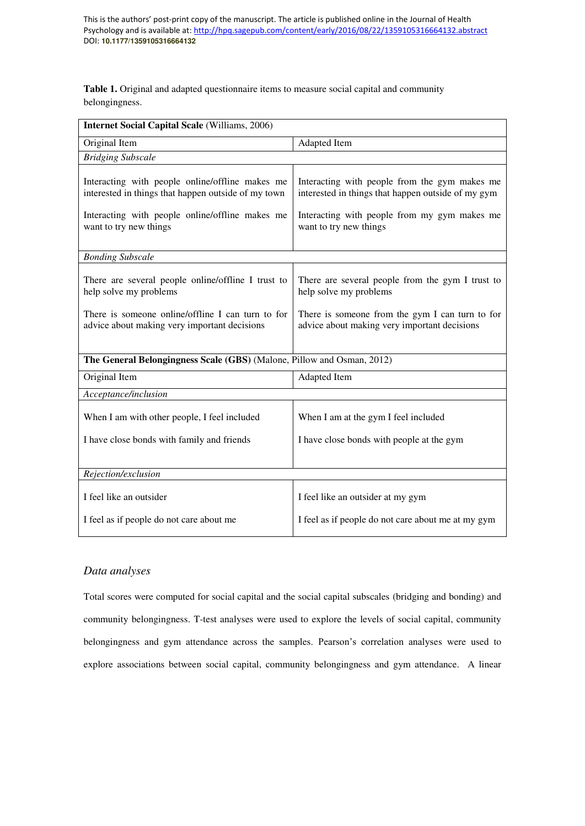**Table 1.** Original and adapted questionnaire items to measure social capital and community belongingness.

| <b>Internet Social Capital Scale (Williams, 2006)</b>                                                                                                                               |                                                                                                                                                                               |  |
|-------------------------------------------------------------------------------------------------------------------------------------------------------------------------------------|-------------------------------------------------------------------------------------------------------------------------------------------------------------------------------|--|
| Original Item                                                                                                                                                                       | Adapted Item                                                                                                                                                                  |  |
| <b>Bridging Subscale</b>                                                                                                                                                            |                                                                                                                                                                               |  |
| Interacting with people online/offline makes me<br>interested in things that happen outside of my town<br>Interacting with people online/offline makes me<br>want to try new things | Interacting with people from the gym makes me<br>interested in things that happen outside of my gym<br>Interacting with people from my gym makes me<br>want to try new things |  |
| <b>Bonding Subscale</b>                                                                                                                                                             |                                                                                                                                                                               |  |
| There are several people online/offline I trust to<br>help solve my problems                                                                                                        | There are several people from the gym I trust to<br>help solve my problems                                                                                                    |  |
| There is someone online/offline I can turn to for<br>advice about making very important decisions                                                                                   | There is someone from the gym I can turn to for<br>advice about making very important decisions                                                                               |  |
| The General Belongingness Scale (GBS) (Malone, Pillow and Osman, 2012)                                                                                                              |                                                                                                                                                                               |  |
| Original Item                                                                                                                                                                       | Adapted Item                                                                                                                                                                  |  |
| Acceptance/inclusion                                                                                                                                                                |                                                                                                                                                                               |  |
| When I am with other people, I feel included                                                                                                                                        | When I am at the gym I feel included                                                                                                                                          |  |
| I have close bonds with family and friends                                                                                                                                          | I have close bonds with people at the gym                                                                                                                                     |  |
|                                                                                                                                                                                     |                                                                                                                                                                               |  |
| Rejection/exclusion                                                                                                                                                                 |                                                                                                                                                                               |  |
| I feel like an outsider                                                                                                                                                             | I feel like an outsider at my gym                                                                                                                                             |  |
| I feel as if people do not care about me                                                                                                                                            | I feel as if people do not care about me at my gym                                                                                                                            |  |

# *Data analyses*

Total scores were computed for social capital and the social capital subscales (bridging and bonding) and community belongingness. T-test analyses were used to explore the levels of social capital, community belongingness and gym attendance across the samples. Pearson's correlation analyses were used to explore associations between social capital, community belongingness and gym attendance. A linear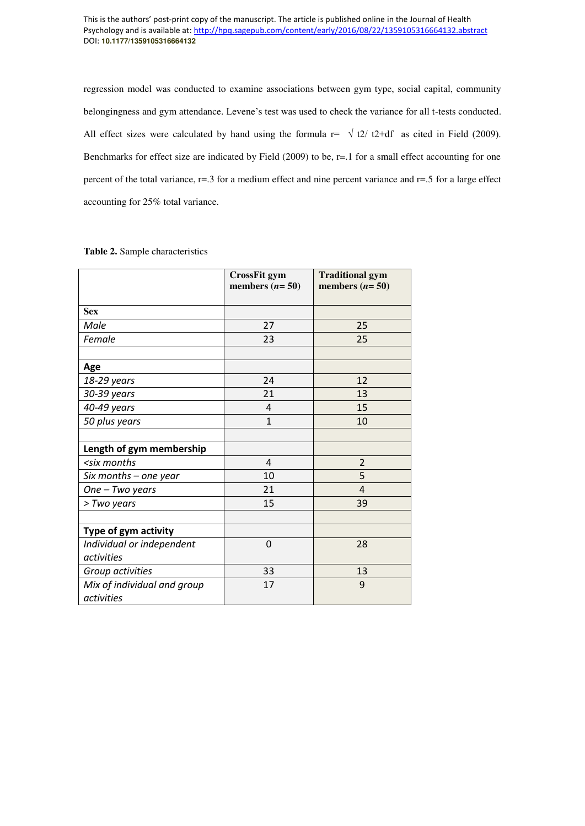regression model was conducted to examine associations between gym type, social capital, community belongingness and gym attendance. Levene's test was used to check the variance for all t-tests conducted. All effect sizes were calculated by hand using the formula  $r = \sqrt{t^2 + 4}$  as cited in Field (2009). Benchmarks for effect size are indicated by Field (2009) to be, r=.1 for a small effect accounting for one percent of the total variance, r=.3 for a medium effect and nine percent variance and r=.5 for a large effect accounting for 25% total variance.

|                                                                                                  | <b>CrossFit gym</b><br>members $(n=50)$ | <b>Traditional gym</b><br>members $(n=50)$ |
|--------------------------------------------------------------------------------------------------|-----------------------------------------|--------------------------------------------|
| <b>Sex</b>                                                                                       |                                         |                                            |
| Male                                                                                             | 27                                      | 25                                         |
| Female                                                                                           | 23                                      | 25                                         |
| Age                                                                                              |                                         |                                            |
| 18-29 years                                                                                      | 24                                      | 12                                         |
| 30-39 years                                                                                      | 21                                      | 13                                         |
| 40-49 years                                                                                      | 4                                       | 15                                         |
| 50 plus years                                                                                    | $\mathbf{1}$                            | 10                                         |
|                                                                                                  |                                         |                                            |
| Length of gym membership                                                                         |                                         |                                            |
| <six months<="" td=""><td><math>\overline{4}</math></td><td><math>\overline{2}</math></td></six> | $\overline{4}$                          | $\overline{2}$                             |
| Six months - one year                                                                            | 10                                      | 5                                          |
| One - Two years                                                                                  | 21                                      | $\overline{4}$                             |
| > Two years                                                                                      | 15                                      | 39                                         |
|                                                                                                  |                                         |                                            |
| Type of gym activity                                                                             |                                         |                                            |
| Individual or independent                                                                        | 0                                       | 28                                         |
| activities                                                                                       |                                         |                                            |
| Group activities                                                                                 | 33                                      | 13                                         |
| Mix of individual and group<br>activities                                                        | 17                                      | 9                                          |

# **Table 2.** Sample characteristics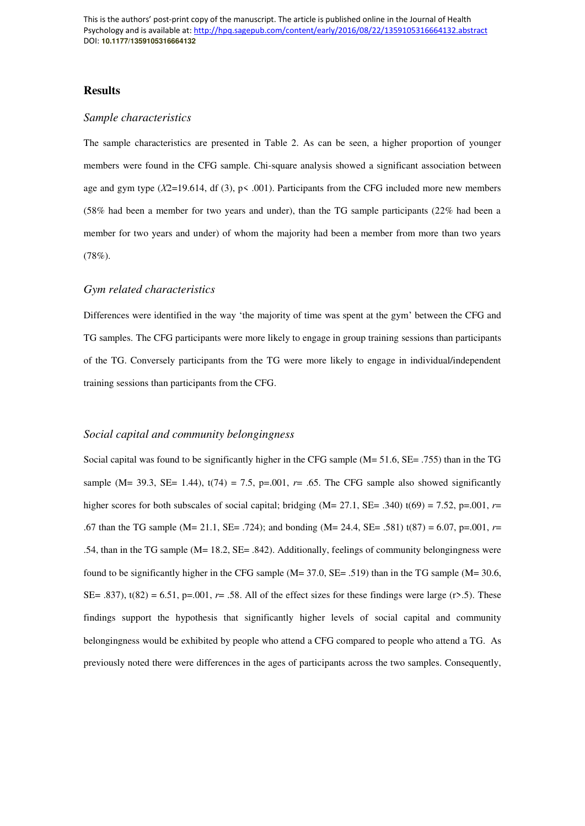# **Results**

# *Sample characteristics*

The sample characteristics are presented in Table 2. As can be seen, a higher proportion of younger members were found in the CFG sample. Chi-square analysis showed a significant association between age and gym type (*Χ*2=19.614, df (3), p< .001). Participants from the CFG included more new members (58% had been a member for two years and under), than the TG sample participants (22% had been a member for two years and under) of whom the majority had been a member from more than two years (78%).

# *Gym related characteristics*

Differences were identified in the way 'the majority of time was spent at the gym' between the CFG and TG samples. The CFG participants were more likely to engage in group training sessions than participants of the TG. Conversely participants from the TG were more likely to engage in individual/independent training sessions than participants from the CFG.

# *Social capital and community belongingness*

Social capital was found to be significantly higher in the CFG sample (M= 51.6, SE= .755) than in the TG sample (M= 39.3, SE= 1.44),  $t(74) = 7.5$ ,  $p=0.01$ ,  $r=$  .65. The CFG sample also showed significantly higher scores for both subscales of social capital; bridging (M= 27.1, SE= .340) t(69) = 7.52, p=.001, *r*= .67 than the TG sample (M= 21.1, SE= .724); and bonding (M= 24.4, SE= .581) t(87) = 6.07, p=.001, *r*= .54, than in the TG sample (M= 18.2, SE= .842). Additionally, feelings of community belongingness were found to be significantly higher in the CFG sample (M= 37.0, SE= .519) than in the TG sample (M= 30.6, SE= .837),  $t(82) = 6.51$ ,  $p=.001$ ,  $r=.58$ . All of the effect sizes for these findings were large (r>.5). These findings support the hypothesis that significantly higher levels of social capital and community belongingness would be exhibited by people who attend a CFG compared to people who attend a TG. As previously noted there were differences in the ages of participants across the two samples. Consequently,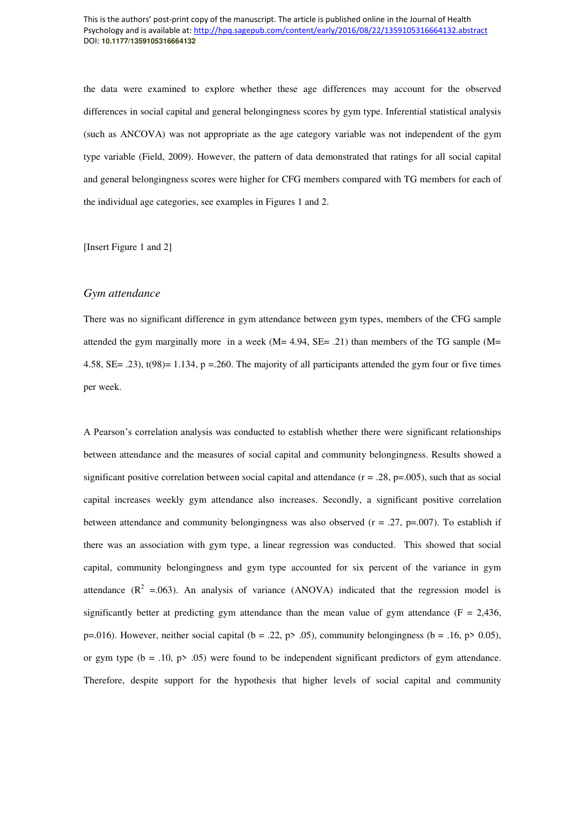the data were examined to explore whether these age differences may account for the observed differences in social capital and general belongingness scores by gym type. Inferential statistical analysis (such as ANCOVA) was not appropriate as the age category variable was not independent of the gym type variable (Field, 2009). However, the pattern of data demonstrated that ratings for all social capital and general belongingness scores were higher for CFG members compared with TG members for each of the individual age categories, see examples in Figures 1 and 2.

[Insert Figure 1 and 2]

## *Gym attendance*

There was no significant difference in gym attendance between gym types, members of the CFG sample attended the gym marginally more in a week  $(M= 4.94, SE= .21)$  than members of the TG sample  $(M=$ 4.58, SE= .23), t(98)= 1.134, p =.260. The majority of all participants attended the gym four or five times per week.

A Pearson's correlation analysis was conducted to establish whether there were significant relationships between attendance and the measures of social capital and community belongingness. Results showed a significant positive correlation between social capital and attendance  $(r = .28, p=.005)$ , such that as social capital increases weekly gym attendance also increases. Secondly, a significant positive correlation between attendance and community belongingness was also observed  $(r = .27, p=.007)$ . To establish if there was an association with gym type, a linear regression was conducted. This showed that social capital, community belongingness and gym type accounted for six percent of the variance in gym attendance  $(R^2 = 0.063)$ . An analysis of variance (ANOVA) indicated that the regression model is significantly better at predicting gym attendance than the mean value of gym attendance ( $F = 2,436$ , p=.016). However, neither social capital (b = .22, p> .05), community belongingness (b = .16, p> 0.05), or gym type ( $b = .10$ ,  $p > .05$ ) were found to be independent significant predictors of gym attendance. Therefore, despite support for the hypothesis that higher levels of social capital and community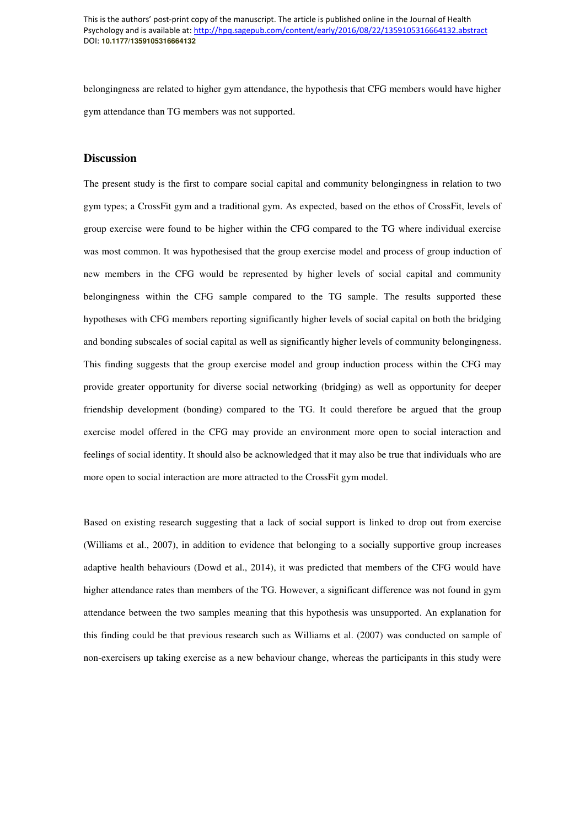belongingness are related to higher gym attendance, the hypothesis that CFG members would have higher gym attendance than TG members was not supported.

# **Discussion**

The present study is the first to compare social capital and community belongingness in relation to two gym types; a CrossFit gym and a traditional gym. As expected, based on the ethos of CrossFit, levels of group exercise were found to be higher within the CFG compared to the TG where individual exercise was most common. It was hypothesised that the group exercise model and process of group induction of new members in the CFG would be represented by higher levels of social capital and community belongingness within the CFG sample compared to the TG sample. The results supported these hypotheses with CFG members reporting significantly higher levels of social capital on both the bridging and bonding subscales of social capital as well as significantly higher levels of community belongingness. This finding suggests that the group exercise model and group induction process within the CFG may provide greater opportunity for diverse social networking (bridging) as well as opportunity for deeper friendship development (bonding) compared to the TG. It could therefore be argued that the group exercise model offered in the CFG may provide an environment more open to social interaction and feelings of social identity. It should also be acknowledged that it may also be true that individuals who are more open to social interaction are more attracted to the CrossFit gym model.

Based on existing research suggesting that a lack of social support is linked to drop out from exercise (Williams et al., 2007), in addition to evidence that belonging to a socially supportive group increases adaptive health behaviours (Dowd et al., 2014), it was predicted that members of the CFG would have higher attendance rates than members of the TG. However, a significant difference was not found in gym attendance between the two samples meaning that this hypothesis was unsupported. An explanation for this finding could be that previous research such as Williams et al. (2007) was conducted on sample of non-exercisers up taking exercise as a new behaviour change, whereas the participants in this study were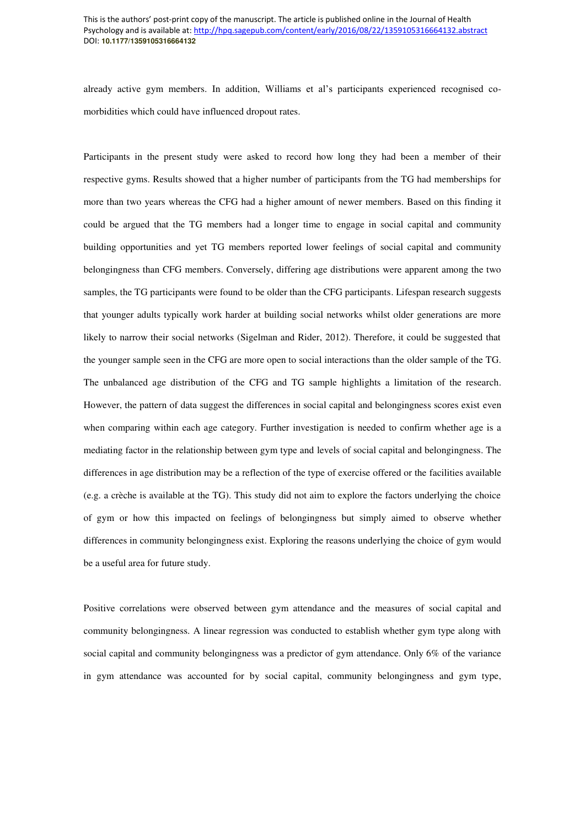already active gym members. In addition, Williams et al's participants experienced recognised comorbidities which could have influenced dropout rates.

Participants in the present study were asked to record how long they had been a member of their respective gyms. Results showed that a higher number of participants from the TG had memberships for more than two years whereas the CFG had a higher amount of newer members. Based on this finding it could be argued that the TG members had a longer time to engage in social capital and community building opportunities and yet TG members reported lower feelings of social capital and community belongingness than CFG members. Conversely, differing age distributions were apparent among the two samples, the TG participants were found to be older than the CFG participants. Lifespan research suggests that younger adults typically work harder at building social networks whilst older generations are more likely to narrow their social networks (Sigelman and Rider, 2012). Therefore, it could be suggested that the younger sample seen in the CFG are more open to social interactions than the older sample of the TG. The unbalanced age distribution of the CFG and TG sample highlights a limitation of the research. However, the pattern of data suggest the differences in social capital and belongingness scores exist even when comparing within each age category. Further investigation is needed to confirm whether age is a mediating factor in the relationship between gym type and levels of social capital and belongingness. The differences in age distribution may be a reflection of the type of exercise offered or the facilities available (e.g. a crèche is available at the TG). This study did not aim to explore the factors underlying the choice of gym or how this impacted on feelings of belongingness but simply aimed to observe whether differences in community belongingness exist. Exploring the reasons underlying the choice of gym would be a useful area for future study.

Positive correlations were observed between gym attendance and the measures of social capital and community belongingness. A linear regression was conducted to establish whether gym type along with social capital and community belongingness was a predictor of gym attendance. Only 6% of the variance in gym attendance was accounted for by social capital, community belongingness and gym type,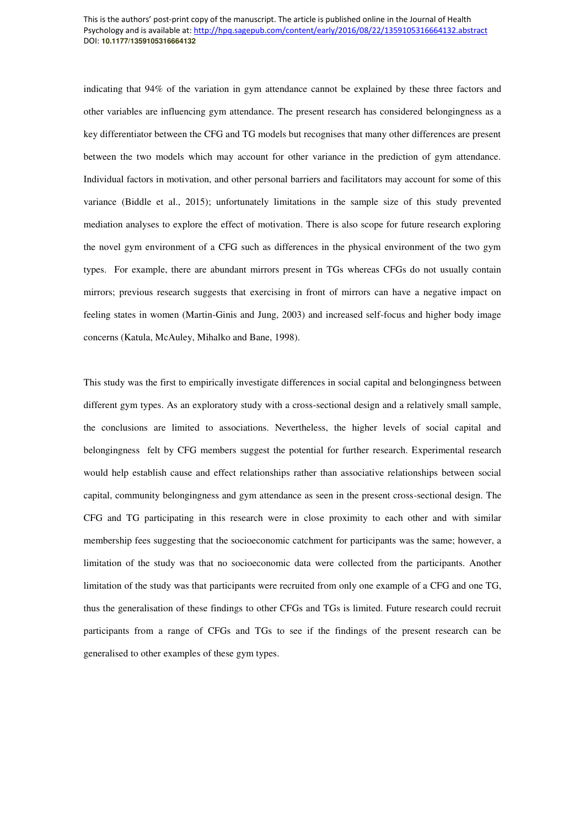indicating that 94% of the variation in gym attendance cannot be explained by these three factors and other variables are influencing gym attendance. The present research has considered belongingness as a key differentiator between the CFG and TG models but recognises that many other differences are present between the two models which may account for other variance in the prediction of gym attendance. Individual factors in motivation, and other personal barriers and facilitators may account for some of this variance (Biddle et al., 2015); unfortunately limitations in the sample size of this study prevented mediation analyses to explore the effect of motivation. There is also scope for future research exploring the novel gym environment of a CFG such as differences in the physical environment of the two gym types. For example, there are abundant mirrors present in TGs whereas CFGs do not usually contain mirrors; previous research suggests that exercising in front of mirrors can have a negative impact on feeling states in women (Martin-Ginis and Jung, 2003) and increased self-focus and higher body image concerns (Katula, McAuley, Mihalko and Bane, 1998).

This study was the first to empirically investigate differences in social capital and belongingness between different gym types. As an exploratory study with a cross-sectional design and a relatively small sample, the conclusions are limited to associations. Nevertheless, the higher levels of social capital and belongingness felt by CFG members suggest the potential for further research. Experimental research would help establish cause and effect relationships rather than associative relationships between social capital, community belongingness and gym attendance as seen in the present cross-sectional design. The CFG and TG participating in this research were in close proximity to each other and with similar membership fees suggesting that the socioeconomic catchment for participants was the same; however, a limitation of the study was that no socioeconomic data were collected from the participants. Another limitation of the study was that participants were recruited from only one example of a CFG and one TG, thus the generalisation of these findings to other CFGs and TGs is limited. Future research could recruit participants from a range of CFGs and TGs to see if the findings of the present research can be generalised to other examples of these gym types.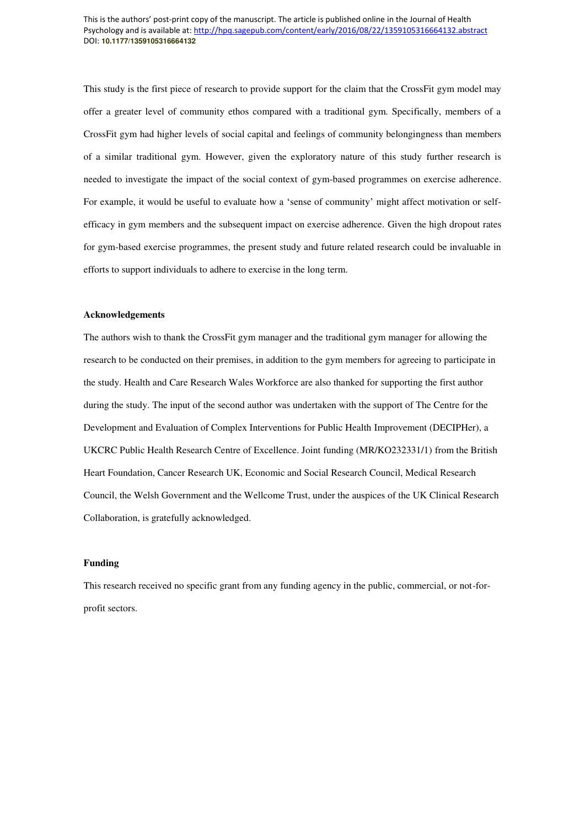This study is the first piece of research to provide support for the claim that the CrossFit gym model may offer a greater level of community ethos compared with a traditional gym. Specifically, members of a CrossFit gym had higher levels of social capital and feelings of community belongingness than members of a similar traditional gym. However, given the exploratory nature of this study further research is needed to investigate the impact of the social context of gym-based programmes on exercise adherence. For example, it would be useful to evaluate how a 'sense of community' might affect motivation or selfefficacy in gym members and the subsequent impact on exercise adherence. Given the high dropout rates for gym-based exercise programmes, the present study and future related research could be invaluable in efforts to support individuals to adhere to exercise in the long term.

#### **Acknowledgements**

The authors wish to thank the CrossFit gym manager and the traditional gym manager for allowing the research to be conducted on their premises, in addition to the gym members for agreeing to participate in the study. Health and Care Research Wales Workforce are also thanked for supporting the first author during the study. The input of the second author was undertaken with the support of The Centre for the Development and Evaluation of Complex Interventions for Public Health Improvement (DECIPHer), a UKCRC Public Health Research Centre of Excellence. Joint funding (MR/KO232331/1) from the British Heart Foundation, Cancer Research UK, Economic and Social Research Council, Medical Research Council, the Welsh Government and the Wellcome Trust, under the auspices of the UK Clinical Research Collaboration, is gratefully acknowledged.

## **Funding**

This research received no specific grant from any funding agency in the public, commercial, or not-forprofit sectors.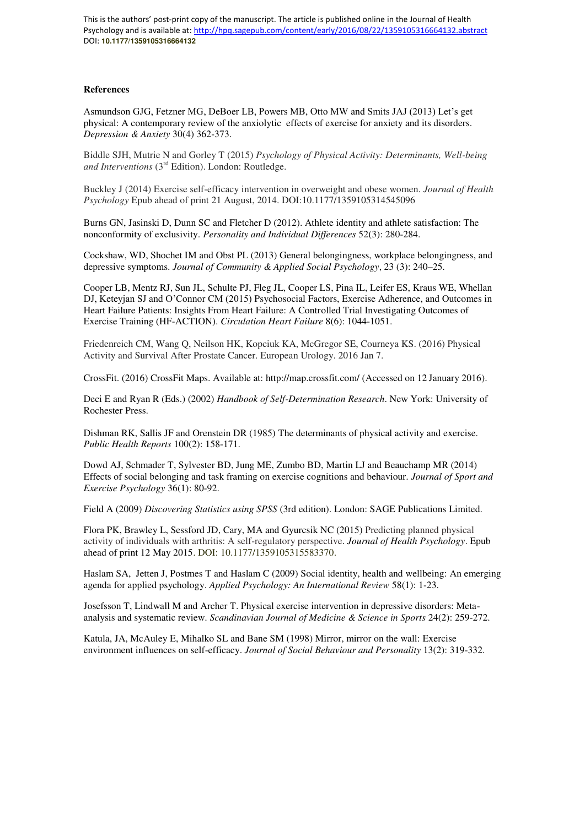#### **References**

Asmundson GJG, Fetzner MG, DeBoer LB, Powers MB, Otto MW and Smits JAJ (2013) Let's get physical: A contemporary review of the anxiolytic effects of exercise for anxiety and its disorders. *Depression & Anxiety* 30(4) 362-373.

Biddle SJH, Mutrie N and Gorley T (2015) *Psychology of Physical Activity: Determinants, Well-being and Interventions* (3rd Edition). London: Routledge.

Buckley J (2014) Exercise self-efficacy intervention in overweight and obese women. *Journal of Health Psychology* Epub ahead of print 21 August, 2014. DOI:10.1177/1359105314545096

Burns GN, Jasinski D, Dunn SC and Fletcher D (2012). Athlete identity and athlete satisfaction: The nonconformity of exclusivity. *Personality and Individual Differences* 52(3): 280-284.

Cockshaw, WD, Shochet IM and Obst PL (2013) General belongingness, workplace belongingness, and depressive symptoms. *Journal of Community & Applied Social Psychology*, 23 (3): 240–25.

Cooper LB, Mentz RJ, Sun JL, Schulte PJ, Fleg JL, Cooper LS, Pina IL, Leifer ES, Kraus WE, Whellan DJ, Keteyjan SJ and O'Connor CM (2015) Psychosocial Factors, Exercise Adherence, and Outcomes in Heart Failure Patients: Insights From Heart Failure: A Controlled Trial Investigating Outcomes of Exercise Training (HF-ACTION). *Circulation Heart Failure* 8(6): 1044-1051.

Friedenreich CM, Wang Q, Neilson HK, Kopciuk KA, McGregor SE, Courneya KS. (2016) Physical Activity and Survival After Prostate Cancer. European Urology. 2016 Jan 7.

CrossFit. (2016) CrossFit Maps. Available at: http://map.crossfit.com/ (Accessed on 12 January 2016).

Deci E and Ryan R (Eds.) (2002) *Handbook of Self-Determination Research*. New York: University of Rochester Press.

Dishman RK, Sallis JF and Orenstein DR (1985) The determinants of physical activity and exercise. *Public Health Reports* 100(2): 158-171.

Dowd AJ, Schmader T, Sylvester BD, Jung ME, Zumbo BD, Martin LJ and Beauchamp MR (2014) Effects of social belonging and task framing on exercise cognitions and behaviour. *Journal of Sport and Exercise Psychology* 36(1): 80-92.

Field A (2009) *Discovering Statistics using SPSS* (3rd edition). London: SAGE Publications Limited.

Flora PK, Brawley L, Sessford JD, Cary, MA and Gyurcsik NC (2015) Predicting planned physical activity of individuals with arthritis: A self-regulatory perspective. *Journal of Health Psychology*. Epub ahead of print 12 May 2015. DOI: 10.1177/1359105315583370.

Haslam SA, Jetten J, Postmes T and Haslam C (2009) Social identity, health and wellbeing: An emerging agenda for applied psychology. *Applied Psychology: An International Review* 58(1): 1-23.

Josefsson T, Lindwall M and Archer T. Physical exercise intervention in depressive disorders: Metaanalysis and systematic review. *Scandinavian Journal of Medicine & Science in Sports* 24(2): 259-272.

Katula, JA, McAuley E, Mihalko SL and Bane SM (1998) Mirror, mirror on the wall: Exercise environment influences on self-efficacy. *Journal of Social Behaviour and Personality* 13(2): 319-332.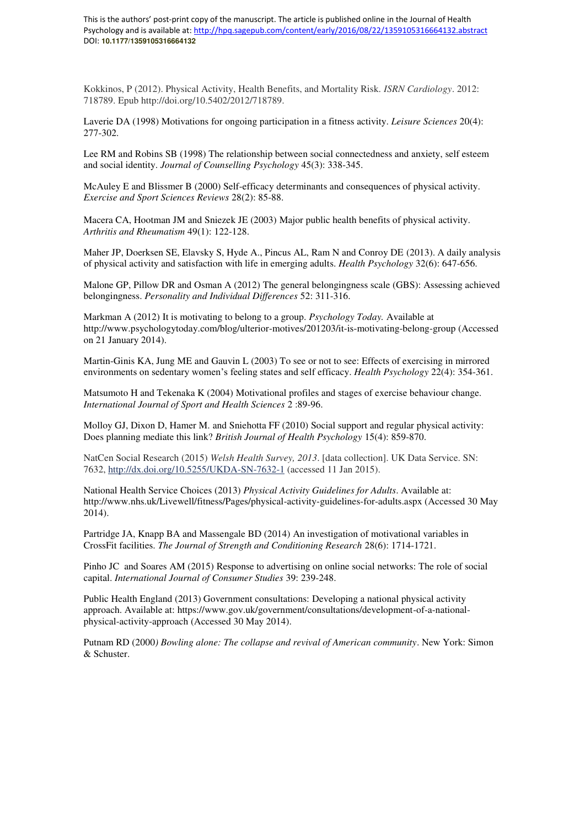Kokkinos, P (2012). Physical Activity, Health Benefits, and Mortality Risk. *ISRN Cardiology*. 2012: 718789. Epub http://doi.org/10.5402/2012/718789.

Laverie DA (1998) Motivations for ongoing participation in a fitness activity. *Leisure Sciences* 20(4): 277-302.

Lee RM and Robins SB (1998) The relationship between social connectedness and anxiety, self esteem and social identity. *Journal of Counselling Psychology* 45(3): 338-345.

McAuley E and Blissmer B (2000) Self-efficacy determinants and consequences of physical activity. *Exercise and Sport Sciences Reviews* 28(2): 85-88.

Macera CA, Hootman JM and Sniezek JE (2003) Major public health benefits of physical activity. *Arthritis and Rheumatism* 49(1): 122-128.

Maher JP, Doerksen SE, Elavsky S, Hyde A., Pincus AL, Ram N and Conroy DE (2013). A daily analysis of physical activity and satisfaction with life in emerging adults. *Health Psychology* 32(6): 647-656.

Malone GP, Pillow DR and Osman A (2012) The general belongingness scale (GBS): Assessing achieved belongingness. *Personality and Individual Differences* 52: 311-316.

Markman A (2012) It is motivating to belong to a group. *Psychology Today.* Available at http://www.psychologytoday.com/blog/ulterior-motives/201203/it-is-motivating-belong-group (Accessed on 21 January 2014).

Martin-Ginis KA, Jung ME and Gauvin L (2003) To see or not to see: Effects of exercising in mirrored environments on sedentary women's feeling states and self efficacy. *Health Psychology* 22(4): 354-361.

Matsumoto H and Tekenaka K (2004) Motivational profiles and stages of exercise behaviour change. *International Journal of Sport and Health Sciences* 2 :89-96.

Molloy GJ, Dixon D, Hamer M. and Sniehotta FF (2010) Social support and regular physical activity: Does planning mediate this link? *British Journal of Health Psychology* 15(4): 859-870.

NatCen Social Research (2015) *Welsh Health Survey, 2013*. [data collection]. UK Data Service. SN: 7632,<http://dx.doi.org/10.5255/UKDA-SN-7632-1>(accessed 11 Jan 2015).

National Health Service Choices (2013) *Physical Activity Guidelines for Adults*. Available at: http://www.nhs.uk/Livewell/fitness/Pages/physical-activity-guidelines-for-adults.aspx (Accessed 30 May 2014).

Partridge JA, Knapp BA and Massengale BD (2014) An investigation of motivational variables in CrossFit facilities. *The Journal of Strength and Conditioning Research* 28(6): 1714-1721.

Pinho JC and Soares AM (2015) Response to advertising on online social networks: The role of social capital. *International Journal of Consumer Studies* 39: 239-248.

Public Health England (2013) Government consultations: Developing a national physical activity approach. Available at: https://www.gov.uk/government/consultations/development-of-a-nationalphysical-activity-approach (Accessed 30 May 2014).

Putnam RD (2000*) Bowling alone: The collapse and revival of American community*. New York: Simon & Schuster.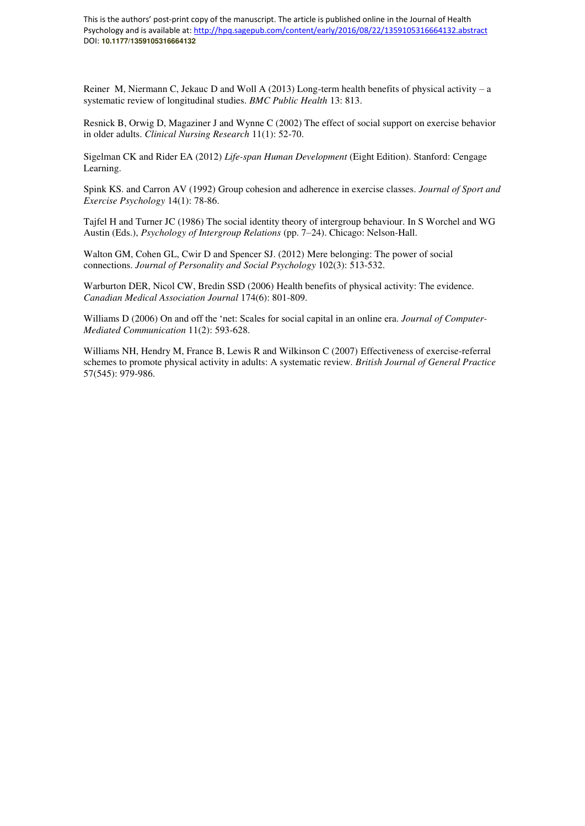Reiner M, Niermann C, Jekauc D and Woll A (2013) Long-term health benefits of physical activity – a systematic review of longitudinal studies. *BMC Public Health* 13: 813.

Resnick B, Orwig D, Magaziner J and Wynne C (2002) The effect of social support on exercise behavior in older adults. *Clinical Nursing Research* 11(1): 52-70.

Sigelman CK and Rider EA (2012) *Life-span Human Development* (Eight Edition). Stanford: Cengage Learning.

Spink KS. and Carron AV (1992) Group cohesion and adherence in exercise classes. *Journal of Sport and Exercise Psychology* 14(1): 78-86.

Tajfel H and Turner JC (1986) The social identity theory of intergroup behaviour. In S Worchel and WG Austin (Eds.), *Psychology of Intergroup Relations* (pp. 7–24). Chicago: Nelson-Hall.

Walton GM, Cohen GL, Cwir D and Spencer SJ. (2012) Mere belonging: The power of social connections. *Journal of Personality and Social Psychology* 102(3): 513-532.

Warburton DER, Nicol CW, Bredin SSD (2006) Health benefits of physical activity: The evidence. *Canadian Medical Association Journal* 174(6): 801-809.

Williams D (2006) On and off the 'net: Scales for social capital in an online era. *Journal of Computer-Mediated Communication* 11(2): 593-628.

Williams NH, Hendry M, France B, Lewis R and Wilkinson C (2007) Effectiveness of exercise-referral schemes to promote physical activity in adults: A systematic review. *British Journal of General Practice* 57(545): 979-986.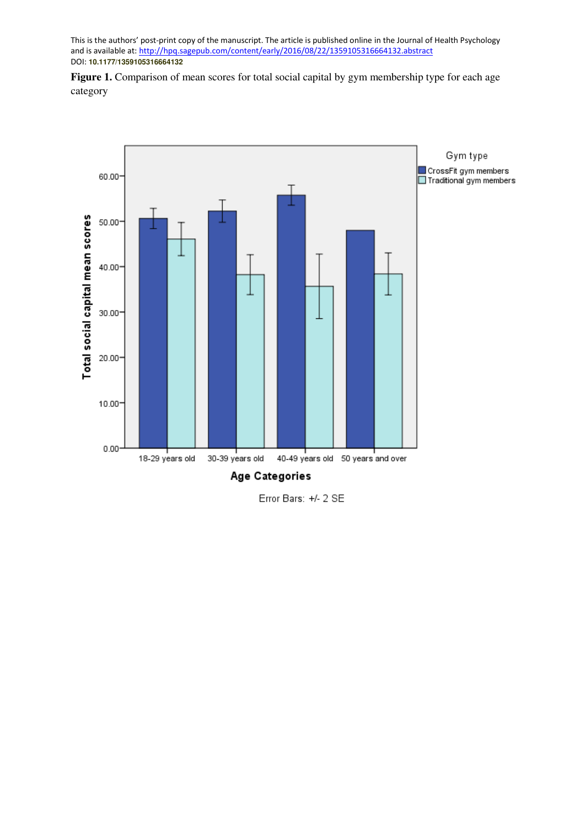Figure 1. Comparison of mean scores for total social capital by gym membership type for each age category



Error Bars: +/- 2 SE